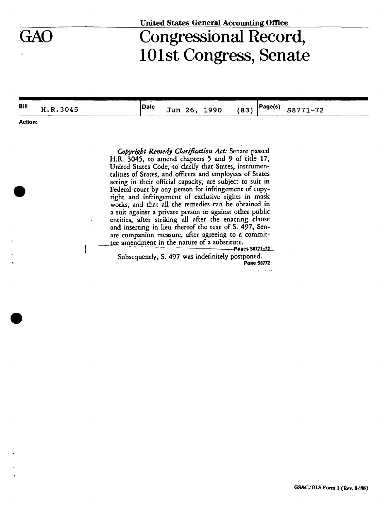## **United States General Accounting Office**

## GAO Congressional Record, 101st Congress, Senate

**Bill** H.R.3045 **Date** Jun 26, 1990 (83)  $Page(s)$ S8771-72

**Action:** 

*Copyright Remedy Clarification Act:* Senate passed H.R. 3045, to amend chapters 5 and 9 of title 17, United States Code, to clarify that States, instrumentalities of States, and officers and employees of States acting in their official capacity, are subject to suit in Federal court by any person for infringement of copyright and infringement of exclusive rights in mask works, and that all the remedies can be obtained in a suit against a private person or against other public entities, after striking all after the enacting clause and inserting in lieu thereof the text of S. 497, Senate companion measure, after agreeing to a committee amendment in the nature of a substitute.

**- — Poges-S8Z71=Z2\_**  Subsequently, S. 497 was indefinitely postponed. **Page SB772**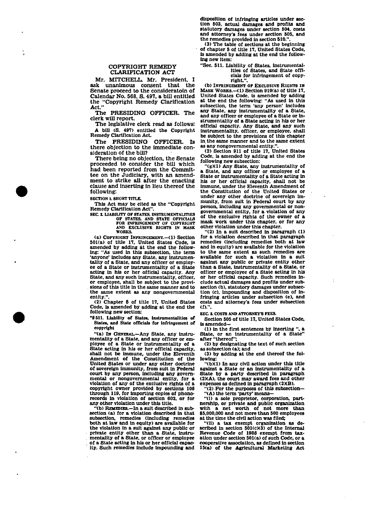**disposition of infringing articles under section 503, actual damages and profits and statutory damages under section 504, costs and attorney's fees under section 505, and the remedies provided in section 510.".** 

**(3) The table of sections at the beginning of chapter 5 of title 17. United States Code, is amended by adding at the end the following new Item:** 

**"Sec. 511. Liability of States, instrumentalities of States, and State offi-**

**Mr. MITCHELL. Mr. President, I ask unanimous consent that the Senate proceed to the consideratoin of Calendar No. 568, S. 497, a bill entitled the "Copyright Remedy Clarification Act."** 

**COPYRIGHT REMEDY CLARIFICATION ACT** 

**The PRESIDING OFFICER. The clerk will report.** 

**The legislative clerk read as follows: A bill (S. 497) entitled the Copyright Remedy Clarification Act.**<br>The PRESIDING OFFICER. Is

**The PRESIDING there objection to the immediate consideration of the bill?** 

**There being no objection, the Senate proceeded to consider the bill which had been reported from the Committee on the Judiciary, with an amendment to strike all after the enacting clause and inserting in lieu thereof the following:** 

**SECTION 1. SHORT TITLE.** 

**This Act may be cited as the "Copyright Remedy Clarification Act".** 

**S EC 2. LIABILITY OF STATES. INSTRUMENTALITIES OF STATES. AND STATE OFFICIALS FOR INFRINGEMENT OF COPYRICHT AND EXCLUSIVE RIGHTS IN MASK WORKS.** 

**(a) COPYRIGHT INFRINGEMENT.—<1) Section SOKa) of title 17, United States Code, is amended by adding at the end the following: "As used in this subsection, the term 'anyone' includes any State, any instrumentality of a State, and any officer or employee of a State or Instrumentality of a State acting in his or her official capacity. Any State, and any such Instrumentality, officer, or employee, shall be subject to the provisions of this title in the same manner and to the same extent as any nongovernmental**  entity.

**(2) Chapter 5 of title 17. United States Code, is amended by adding at the end the following new section:** 

**"8511. Liability of States, Instrumentalities of States, and State officials for infringement of copyright** 

**"(a) IN GENERAL.—Any State, any instrumentality of a State, and any officer or employee of a State or Instrumentality of a State acting in his or her official capacity, shall not be immune, under the Eleventh Amendment of the Constitution of the United States or under any other doctrine of sovereign Immunity, from suit in Federal court by any person, including any governmental or nongovernmental entity, for a violation of any of the exclusive rights of a copyright owner provided by sections 108 through 119, for importing copies of phonorecords in violation of section 602, or for any other violation under this title.** 

**"(b) REMEDIES.—In a suit described in subsection (a) for a violation described in that subsection, remedies (including remedies both at law and in equity) are available for the violation in a suit against any public or private entity other than a State, instru-mentality of a State, or officer or employee of a State acting in his or her official capacity. Such remedies Include Impounding and** 

**cials for infringement of copyright". (b) INFRINGEMENT or EXCLUSIVE RIGHTS IN MASK WORKS.—(1) Section 910(a) of title 17, United States Code, is amended by adding at the end the following: "As used in this subsection, the term 'any person' includes** 

**any State, any instrumentality of a State, and any officer or employee of a State or instrumentality of a State acting in his or her official capacity. Any State, and any such instrumentality, officer, or employee, shall be subject to the provisions of this chapter in. the same manner and to the same extent**  as any nongovernmental entity.

**(2) Section 911 of title 17, United States Code, is amended by adding at the end the following new subsection:** 

**"(g)(1) Any State, any instrumentality of a State, and any officer or employee of a State or instrumentality of a State acting in his or her official capacity, shall not be immune, under the Eleventh Amendment of the Constitution of the United States or under any other doctrine of sovereign immunity, from suit in Federal court by any person. Including any governmental or nongovernmental entity, for a violation of any of the exclusive rights of the owner of a mask work under this chapter, or for any other violation under this chapter.** 

**"(2) In a suit described in paragraph (1) for a violation described in that paragraph remedies (including remedies both at law and in equity) are available for the violation to the same extent as such remedies are available for such a violation In a suit against any public or private entity other than a State, instrumentality of a State, or officer or employee of a State acting in his or her official capacity. Such remedies include actual damages and profits under subsection (b), statutory damages under subsection (c), impounding and disposition of infringing articles under subsection (e), and costs and attorney's fees under subsection (f).".** 

**SEC. 3. COSTS AND ATTORNEY'S FEES.** 

**Section 505 of title 17, United States Code, is amended—** 

**(1) in the first sentences by inserting ", a State, or an instrumentality of a State" after "thereof":** 

**(2) by designating the text of such section as subsection (a); and** 

**(3) by adding at the end thereof the following:** 

**"(b)(1) In any civil action under this title against a State or an instrumentality of a State by a party described in paragraph (2)(A), the court may award fees and other expenses as defined in paragraph (2KB).** 

**"(2) For the purposes of this subsection— "(A) the term 'party' means—** 

**"(1) a sole proprietor, corporation, partnership, or private and public organization with a net worth of not more than \$5,000,000 and not more than 500 employees at the time the civil action was filed;** 

**"(il) a tax exempt organization as described in section 501(cX3) of the Internal Revenue Code of 198S exempt from tax-ation under section 501(a) of such Code, or a cooperative association, as defined in section 15(a) of the Agricultural Marketing Act**